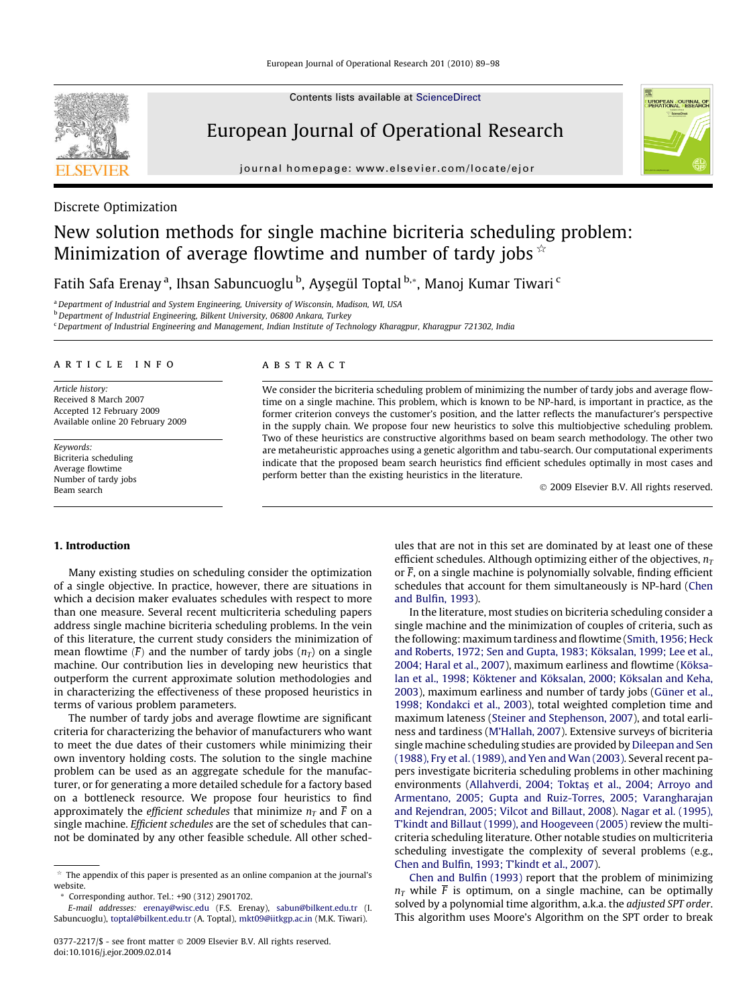

Contents lists available at [ScienceDirect](http://www.sciencedirect.com/science/journal/03772217)

# European Journal of Operational Research

journal homepage: [www.elsevier.com/locate/ejor](http://www.elsevier.com/locate/ejor)



# New solution methods for single machine bicriteria scheduling problem: Minimization of average flowtime and number of tardy jobs  $\dot{\alpha}$

Fatih Safa Erenay <sup>a</sup>, Ihsan Sabuncuoglu <sup>b</sup>, Ayşegül Toptal <sup>b,</sup>\*, Manoj Kumar Tiwari <sup>c</sup>

aDepartment of Industrial and System Engineering, University of Wisconsin, Madison, WI, USA

b Department of Industrial Engineering, Bilkent University, 06800 Ankara, Turkey

<sup>c</sup> Department of Industrial Engineering and Management, Indian Institute of Technology Kharagpur, Kharagpur 721302, India

## article info

Article history: Received 8 March 2007 Accepted 12 February 2009 Available online 20 February 2009

Keywords: Bicriteria scheduling Average flowtime Number of tardy jobs Beam search

# ABSTRACT

We consider the bicriteria scheduling problem of minimizing the number of tardy jobs and average flowtime on a single machine. This problem, which is known to be NP-hard, is important in practice, as the former criterion conveys the customer's position, and the latter reflects the manufacturer's perspective in the supply chain. We propose four new heuristics to solve this multiobjective scheduling problem. Two of these heuristics are constructive algorithms based on beam search methodology. The other two are metaheuristic approaches using a genetic algorithm and tabu-search. Our computational experiments indicate that the proposed beam search heuristics find efficient schedules optimally in most cases and perform better than the existing heuristics in the literature.

© 2009 Elsevier B.V. All rights reserved.

## 1. Introduction

Many existing studies on scheduling consider the optimization of a single objective. In practice, however, there are situations in which a decision maker evaluates schedules with respect to more than one measure. Several recent multicriteria scheduling papers address single machine bicriteria scheduling problems. In the vein of this literature, the current study considers the minimization of mean flowtime  $\overline{F}$  and the number of tardy jobs  $(n_T)$  on a single machine. Our contribution lies in developing new heuristics that outperform the current approximate solution methodologies and in characterizing the effectiveness of these proposed heuristics in terms of various problem parameters.

The number of tardy jobs and average flowtime are significant criteria for characterizing the behavior of manufacturers who want to meet the due dates of their customers while minimizing their own inventory holding costs. The solution to the single machine problem can be used as an aggregate schedule for the manufacturer, or for generating a more detailed schedule for a factory based on a bottleneck resource. We propose four heuristics to find approximately the *efficient schedules* that minimize  $n<sub>T</sub>$  and  $\overline{F}$  on a single machine. Efficient schedules are the set of schedules that cannot be dominated by any other feasible schedule. All other schedules that are not in this set are dominated by at least one of these efficient schedules. Although optimizing either of the objectives,  $n_T$ or  $\overline{F}$ , on a single machine is polynomially solvable, finding efficient schedules that account for them simultaneously is NP-hard ([Chen](#page-9-0) [and Bulfin, 1993](#page-9-0)).

In the literature, most studies on bicriteria scheduling consider a single machine and the minimization of couples of criteria, such as the following: maximum tardiness and flowtime ([Smith, 1956; Heck](#page-9-0) [and Roberts, 1972; Sen and Gupta, 1983; Köksalan, 1999; Lee et al.,](#page-9-0) [2004; Haral et al., 2007\)](#page-9-0), maximum earliness and flowtime ([Köksa](#page-9-0)[lan et al., 1998; Köktener and Köksalan, 2000; Köksalan and Keha,](#page-9-0) [2003](#page-9-0)), maximum earliness and number of tardy jobs ([Güner et al.,](#page-9-0) [1998; Kondakci et al., 2003\)](#page-9-0), total weighted completion time and maximum lateness [\(Steiner and Stephenson, 2007\)](#page-9-0), and total earliness and tardiness ([M'Hallah, 2007\)](#page-9-0). Extensive surveys of bicriteria single machine scheduling studies are provided by [Dileepan and Sen](#page-9-0) [\(1988\), Fry et al. \(1989\), and Yen and Wan \(2003\)](#page-9-0). Several recent papers investigate bicriteria scheduling problems in other machining environments ([Allahverdi, 2004; Tokta](#page-9-0)ş [et al., 2004; Arroyo and](#page-9-0) [Armentano, 2005; Gupta and Ruiz-Torres, 2005; Varangharajan](#page-9-0) [and Rejendran, 2005; Vilcot and Billaut, 2008\)](#page-9-0). [Nagar et al. \(1995\),](#page-9-0) [T'kindt and Billaut \(1999\), and Hoogeveen \(2005\)](#page-9-0) review the multicriteria scheduling literature. Other notable studies on multicriteria scheduling investigate the complexity of several problems (e.g., [Chen and Bulfin, 1993; T'kindt et al., 2007\)](#page-9-0).

[Chen and Bulfin \(1993\)](#page-9-0) report that the problem of minimizing  $n<sub>T</sub>$  while  $\overline{F}$  is optimum, on a single machine, can be optimally solved by a polynomial time algorithm, a.k.a. the adjusted SPT order. This algorithm uses Moore's Algorithm on the SPT order to break



 $*$  The appendix of this paper is presented as an online companion at the journal's website.

Corresponding author. Tel.: +90 (312) 2901702.

E-mail addresses: [erenay@wisc.edu](mailto:erenay@wisc.edu) (F.S. Erenay), [sabun@bilkent.edu.tr](mailto:sabun@bilkent.edu.tr) (I. Sabuncuoglu), [toptal@bilkent.edu.tr](mailto:toptal@bilkent.edu.tr) (A. Toptal), [mkt09@iitkgp.ac.in](mailto:mkt09@iitkgp.ac.in) (M.K. Tiwari).

<sup>0377-2217/\$ -</sup> see front matter © 2009 Elsevier B.V. All rights reserved. doi:10.1016/j.ejor.2009.02.014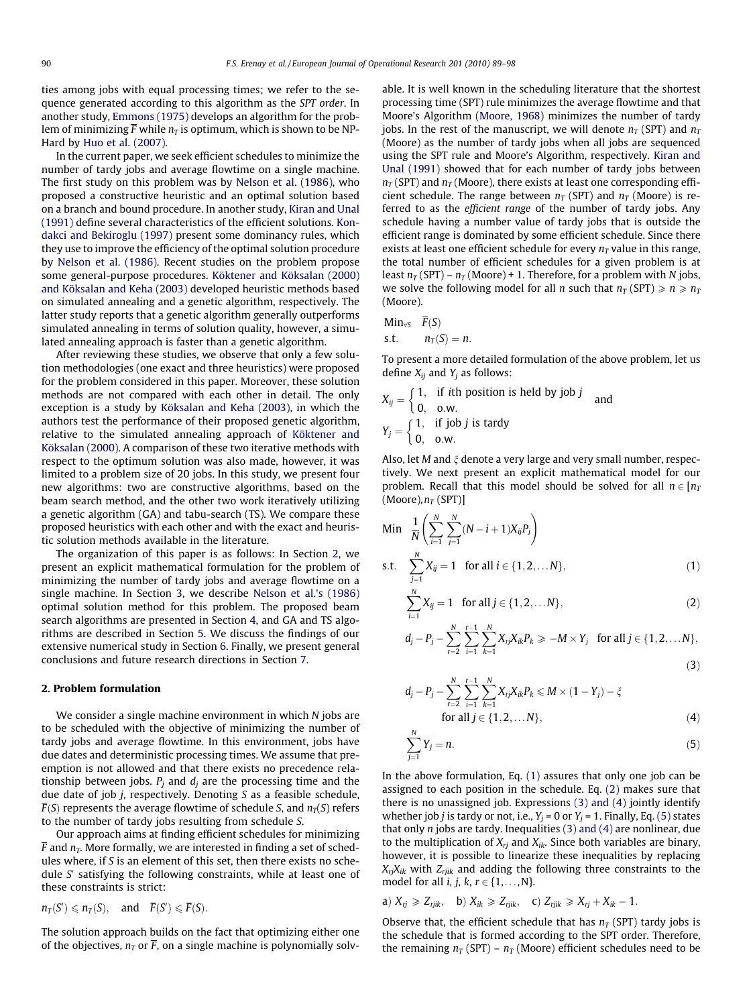ties among jobs with equal processing times; we refer to the sequence generated according to this algorithm as the SPT order. In another study, [Emmons \(1975\)](#page-9-0) develops an algorithm for the problem of minimizing  $\overline{F}$  while  $n<sub>T</sub>$  is optimum, which is shown to be NP-Hard by [Huo et al. \(2007\)](#page-9-0).

In the current paper, we seek efficient schedules to minimize the number of tardy jobs and average flowtime on a single machine. The first study on this problem was by [Nelson et al. \(1986\)](#page-9-0), who proposed a constructive heuristic and an optimal solution based on a branch and bound procedure. In another study, [Kiran and Unal](#page-9-0) [\(1991\)](#page-9-0) define several characteristics of the efficient solutions. [Kon](#page-9-0)[dakci and Bekiroglu \(1997\)](#page-9-0) present some dominancy rules, which they use to improve the efficiency of the optimal solution procedure by [Nelson et al. \(1986\).](#page-9-0) Recent studies on the problem propose some general-purpose procedures. [Köktener and Köksalan \(2000\)](#page-9-0) [and Köksalan and Keha \(2003\)](#page-9-0) developed heuristic methods based on simulated annealing and a genetic algorithm, respectively. The latter study reports that a genetic algorithm generally outperforms simulated annealing in terms of solution quality, however, a simulated annealing approach is faster than a genetic algorithm.

After reviewing these studies, we observe that only a few solution methodologies (one exact and three heuristics) were proposed for the problem considered in this paper. Moreover, these solution methods are not compared with each other in detail. The only exception is a study by [Köksalan and Keha \(2003\),](#page-9-0) in which the authors test the performance of their proposed genetic algorithm, relative to the simulated annealing approach of [Köktener and](#page-9-0) [Köksalan \(2000\)](#page-9-0). A comparison of these two iterative methods with respect to the optimum solution was also made, however, it was limited to a problem size of 20 jobs. In this study, we present four new algorithms: two are constructive algorithms, based on the beam search method, and the other two work iteratively utilizing a genetic algorithm (GA) and tabu-search (TS). We compare these proposed heuristics with each other and with the exact and heuristic solution methods available in the literature.

The organization of this paper is as follows: In Section 2, we present an explicit mathematical formulation for the problem of minimizing the number of tardy jobs and average flowtime on a single machine. In Section [3,](#page-2-0) we describe [Nelson et al.'s \(1986\)](#page-9-0) optimal solution method for this problem. The proposed beam search algorithms are presented in Section [4,](#page-2-0) and GA and TS algorithms are described in Section [5.](#page-3-0) We discuss the findings of our extensive numerical study in Section [6](#page-5-0). Finally, we present general conclusions and future research directions in Section [7.](#page-8-0)

#### 2. Problem formulation

We consider a single machine environment in which N jobs are to be scheduled with the objective of minimizing the number of tardy jobs and average flowtime. In this environment, jobs have due dates and deterministic processing times. We assume that preemption is not allowed and that there exists no precedence relationship between jobs.  $P_i$  and  $d_i$  are the processing time and the due date of job j, respectively. Denoting S as a feasible schedule,  $\overline{F}(S)$  represents the average flowtime of schedule S, and  $n_T(S)$  refers to the number of tardy jobs resulting from schedule S.

Our approach aims at finding efficient schedules for minimizing  $\overline{F}$  and  $n_T$ . More formally, we are interested in finding a set of schedules where, if S is an element of this set, then there exists no schedule  $S'$  satisfying the following constraints, while at least one of these constraints is strict:

$$
n_T(S') \leq n_T(S)
$$
, and  $\overline{F}(S') \leq \overline{F}(S)$ .

The solution approach builds on the fact that optimizing either one of the objectives,  $n<sub>T</sub>$  or  $\overline{F}$ , on a single machine is polynomially solvable. It is well known in the scheduling literature that the shortest processing time (SPT) rule minimizes the average flowtime and that Moore's Algorithm [\(Moore, 1968](#page-9-0)) minimizes the number of tardy jobs. In the rest of the manuscript, we will denote  $n_T$  (SPT) and  $n_T$ (Moore) as the number of tardy jobs when all jobs are sequenced using the SPT rule and Moore's Algorithm, respectively. [Kiran and](#page-9-0) [Unal \(1991\)](#page-9-0) showed that for each number of tardy jobs between  $n_T$  (SPT) and  $n_T$  (Moore), there exists at least one corresponding efficient schedule. The range between  $n_T$  (SPT) and  $n_T$  (Moore) is referred to as the efficient range of the number of tardy jobs. Any schedule having a number value of tardy jobs that is outside the efficient range is dominated by some efficient schedule. Since there exists at least one efficient schedule for every  $n<sub>T</sub>$  value in this range, the total number of efficient schedules for a given problem is at least  $n_T(SPT)$  –  $n_T(Moore)$  + 1. Therefore, for a problem with N jobs, we solve the following model for all n such that  $n_T(SPT) \ge n \ge n_T$ (Moore).

$$
Min_{\forall S} \quad F(S)
$$

$$
s.t. \t n_T(S) = n.
$$

To present a more detailed formulation of the above problem, let us define  $X_{ij}$  and  $Y_j$  as follows:

$$
X_{ij} = \begin{cases} 1, & \text{if } i \text{th position is held by job } j \\ 0, & \text{o.w.} \end{cases}
$$
 and  

$$
Y_j = \begin{cases} 1, & \text{if } j \text{ob } j \text{ is } \text{tardy} \\ 0, & \text{o.w.} \end{cases}
$$

Also, let M and  $\xi$  denote a very large and very small number, respectively. We next present an explicit mathematical model for our problem. Recall that this model should be solved for all  $n \in [n_T]$  $(Moore), n_T (SPT)]$ 

Min 
$$
\frac{1}{N} \left( \sum_{i=1}^{N} \sum_{j=1}^{N} (N - i + 1) X_{ij} P_j \right)
$$
  
s.t.  $\sum_{j=1}^{N} X_{ij} = 1$  for all  $i \in \{1, 2, ... N\}$ , (1)

$$
\sum_{i=1}^{N} X_{ij} = 1 \text{ for all } j \in \{1, 2, \dots N\},
$$
 (2)

$$
d_j - P_j - \sum_{r=2}^N \sum_{i=1}^{r-1} \sum_{k=1}^N X_{rj} X_{ik} P_k \ge -M \times Y_j \text{ for all } j \in \{1, 2, \dots N\},
$$
\n(3)

$$
d_j - P_j - \sum_{r=2}^{N} \sum_{i=1}^{r-1} \sum_{k=1}^{N} X_{rj} X_{ik} P_k \le M \times (1 - Y_j) - \xi
$$
  
for all  $j \in \{1, 2, ..., N\},$  (4)

$$
\sum_{j=1}^{N} Y_j = n. \tag{5}
$$

In the above formulation, Eq. (1) assures that only one job can be assigned to each position in the schedule. Eq. (2) makes sure that there is no unassigned job. Expressions (3) and (4) jointly identify whether job *j* is tardy or not, i.e.,  $Y_i = 0$  or  $Y_i = 1$ . Finally, Eq. (5) states that only n jobs are tardy. Inequalities (3) and (4) are nonlinear, due to the multiplication of  $X_{ri}$  and  $X_{ik}$ . Since both variables are binary, however, it is possible to linearize these inequalities by replacing  $X_{rj}X_{ik}$  with  $Z_{rjik}$  and adding the following three constraints to the model for all *i*, *j*, *k*,  $r \in \{1, \ldots, N\}$ .

a) 
$$
X_{rj} \ge Z_{rjik}
$$
, b)  $X_{ik} \ge Z_{rjik}$ , c)  $Z_{rjik} \ge X_{rj} + X_{ik} - 1$ .

Observe that, the efficient schedule that has  $n<sub>T</sub>$  (SPT) tardy jobs is the schedule that is formed according to the SPT order. Therefore, the remaining  $n_T$  (SPT) –  $n_T$  (Moore) efficient schedules need to be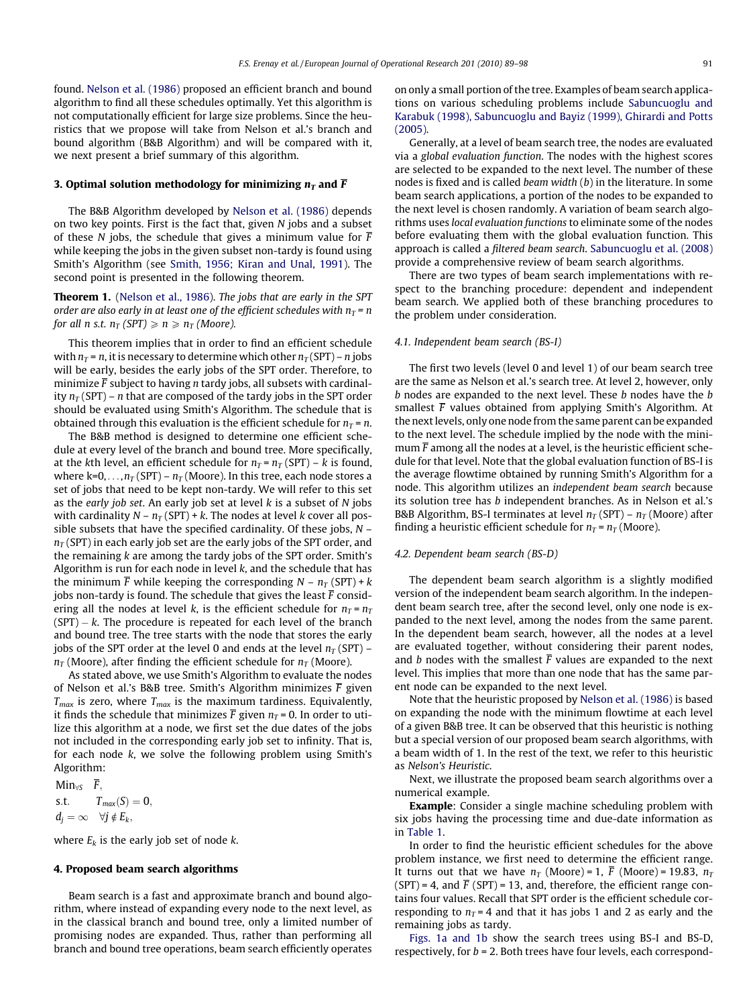<span id="page-2-0"></span>found. [Nelson et al. \(1986\)](#page-9-0) proposed an efficient branch and bound algorithm to find all these schedules optimally. Yet this algorithm is not computationally efficient for large size problems. Since the heuristics that we propose will take from Nelson et al.'s branch and bound algorithm (B&B Algorithm) and will be compared with it, we next present a brief summary of this algorithm.

## 3. Optimal solution methodology for minimizing  $n<sub>T</sub>$  and  $\overline{F}$

The B&B Algorithm developed by [Nelson et al. \(1986\)](#page-9-0) depends on two key points. First is the fact that, given N jobs and a subset of these N jobs, the schedule that gives a minimum value for  $\overline{F}$ while keeping the jobs in the given subset non-tardy is found using Smith's Algorithm (see [Smith, 1956; Kiran and Unal, 1991](#page-9-0)). The second point is presented in the following theorem.

Theorem 1. [\(Nelson et al., 1986](#page-9-0)). The jobs that are early in the SPT order are also early in at least one of the efficient schedules with  $n_T = n$ for all n s.t.  $n_T(SPT) \geq n \geq n_T$  (Moore).

This theorem implies that in order to find an efficient schedule with  $n_T$  = n, it is necessary to determine which other  $n_T(SPT)$  – n jobs will be early, besides the early jobs of the SPT order. Therefore, to minimize  $\bar{F}$  subject to having *n* tardy jobs, all subsets with cardinality  $n_T(SPT)$  – n that are composed of the tardy jobs in the SPT order should be evaluated using Smith's Algorithm. The schedule that is obtained through this evaluation is the efficient schedule for  $n_T = n$ .

The B&B method is designed to determine one efficient schedule at every level of the branch and bound tree. More specifically, at the kth level, an efficient schedule for  $n_T = n_T (SPT) - k$  is found, where k=0,..., $n_T(SPT)$  –  $n_T(Moore)$ . In this tree, each node stores a set of jobs that need to be kept non-tardy. We will refer to this set as the early job set. An early job set at level  $k$  is a subset of  $N$  jobs with cardinality  $N - n_T(SPT) + k$ . The nodes at level k cover all possible subsets that have the specified cardinality. Of these jobs,  $N$  $n<sub>T</sub>$  (SPT) in each early job set are the early jobs of the SPT order, and the remaining k are among the tardy jobs of the SPT order. Smith's Algorithm is run for each node in level  $k$ , and the schedule that has the minimum  $\bar{F}$  while keeping the corresponding  $N - n_T (SPT) + k$ jobs non-tardy is found. The schedule that gives the least  $F$  considering all the nodes at level k, is the efficient schedule for  $n_T = n_T$  $(SPT) - k$ . The procedure is repeated for each level of the branch and bound tree. The tree starts with the node that stores the early jobs of the SPT order at the level 0 and ends at the level  $n_T$  (SPT) –  $n_T$  (Moore), after finding the efficient schedule for  $n_T$  (Moore).

As stated above, we use Smith's Algorithm to evaluate the nodes of Nelson et al.'s B&B tree. Smith's Algorithm minimizes  $\overline{F}$  given  $T_{max}$  is zero, where  $T_{max}$  is the maximum tardiness. Equivalently, it finds the schedule that minimizes  $\overline{F}$  given  $n_T = 0$ . In order to utilize this algorithm at a node, we first set the due dates of the jobs not included in the corresponding early job set to infinity. That is, for each node k, we solve the following problem using Smith's Algorithm:

Min<sub> $\forall$ S</sub>  $\overline{F}$ , s.t.  $T_{max}(S) = 0$ ,  $d_i = \infty \quad \forall i \notin E_k,$ 

where  $E_k$  is the early job set of node  $k$ .

## 4. Proposed beam search algorithms

Beam search is a fast and approximate branch and bound algorithm, where instead of expanding every node to the next level, as in the classical branch and bound tree, only a limited number of promising nodes are expanded. Thus, rather than performing all branch and bound tree operations, beam search efficiently operates on only a small portion of the tree. Examples of beam search applications on various scheduling problems include [Sabuncuoglu and](#page-9-0) [Karabuk \(1998\), Sabuncuoglu and Bayiz \(1999\), Ghirardi and Potts](#page-9-0) [\(2005\)](#page-9-0).

Generally, at a level of beam search tree, the nodes are evaluated via a global evaluation function. The nodes with the highest scores are selected to be expanded to the next level. The number of these nodes is fixed and is called beam width (b) in the literature. In some beam search applications, a portion of the nodes to be expanded to the next level is chosen randomly. A variation of beam search algorithms uses local evaluation functions to eliminate some of the nodes before evaluating them with the global evaluation function. This approach is called a filtered beam search. [Sabuncuoglu et al. \(2008\)](#page-9-0) provide a comprehensive review of beam search algorithms.

There are two types of beam search implementations with respect to the branching procedure: dependent and independent beam search. We applied both of these branching procedures to the problem under consideration.

## 4.1. Independent beam search (BS-I)

The first two levels (level 0 and level 1) of our beam search tree are the same as Nelson et al.'s search tree. At level 2, however, only b nodes are expanded to the next level. These b nodes have the b smallest  $\bar{F}$  values obtained from applying Smith's Algorithm. At the next levels, only one node from the same parent can be expanded to the next level. The schedule implied by the node with the minimum  $\overline{F}$  among all the nodes at a level, is the heuristic efficient schedule for that level. Note that the global evaluation function of BS-I is the average flowtime obtained by running Smith's Algorithm for a node. This algorithm utilizes an independent beam search because its solution tree has b independent branches. As in Nelson et al.'s B&B Algorithm, BS-I terminates at level  $n_T$  (SPT) –  $n_T$  (Moore) after finding a heuristic efficient schedule for  $n_T = n_T$  (Moore).

## 4.2. Dependent beam search (BS-D)

The dependent beam search algorithm is a slightly modified version of the independent beam search algorithm. In the independent beam search tree, after the second level, only one node is expanded to the next level, among the nodes from the same parent. In the dependent beam search, however, all the nodes at a level are evaluated together, without considering their parent nodes, and b nodes with the smallest  $\bar{F}$  values are expanded to the next level. This implies that more than one node that has the same parent node can be expanded to the next level.

Note that the heuristic proposed by [Nelson et al. \(1986\)](#page-9-0) is based on expanding the node with the minimum flowtime at each level of a given B&B tree. It can be observed that this heuristic is nothing but a special version of our proposed beam search algorithms, with a beam width of 1. In the rest of the text, we refer to this heuristic as Nelson's Heuristic.

Next, we illustrate the proposed beam search algorithms over a numerical example.

Example: Consider a single machine scheduling problem with six jobs having the processing time and due-date information as in [Table 1](#page-3-0).

In order to find the heuristic efficient schedules for the above problem instance, we first need to determine the efficient range. It turns out that we have  $n_T$  (Moore) = 1,  $\overline{F}$  (Moore) = 19.83,  $n_T$ (SPT) = 4, and  $\overline{F}$  (SPT) = 13, and, therefore, the efficient range contains four values. Recall that SPT order is the efficient schedule corresponding to  $n_T = 4$  and that it has jobs 1 and 2 as early and the remaining jobs as tardy.

[Figs. 1a and 1b](#page-3-0) show the search trees using BS-I and BS-D, respectively, for  $b = 2$ . Both trees have four levels, each correspond-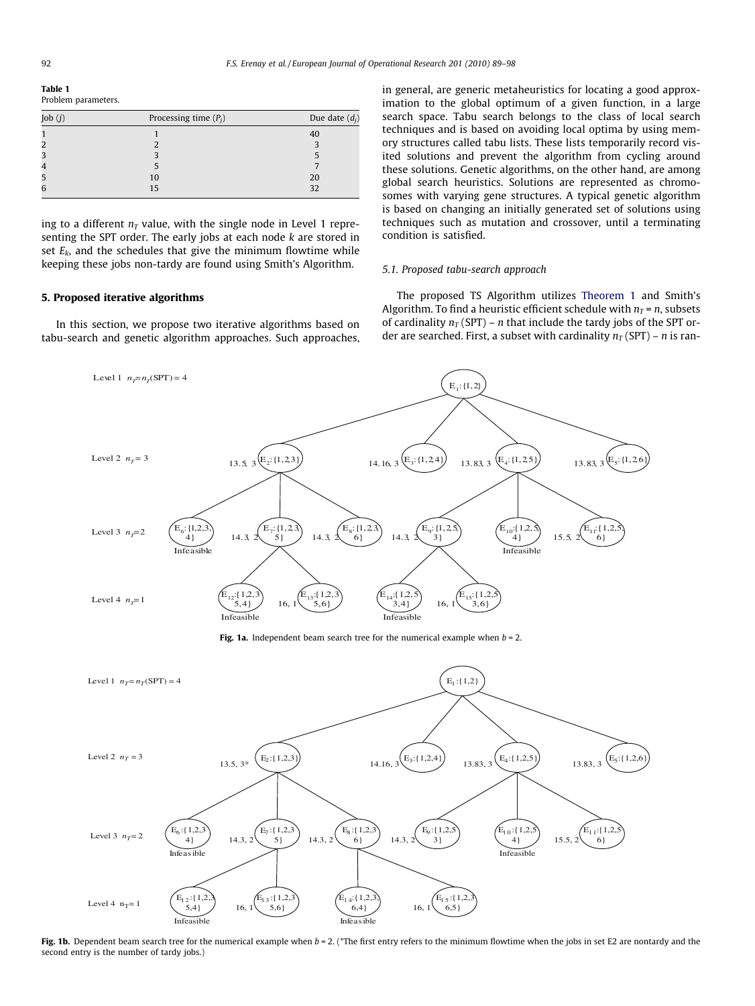<span id="page-3-0"></span>Table 1 Problem parameters.

| $\text{Job}(i)$ | Processing time $(P_i)$ | Due date $(d_i)$ |  |  |  |
|-----------------|-------------------------|------------------|--|--|--|
|                 |                         | 40               |  |  |  |
|                 |                         |                  |  |  |  |
|                 |                         |                  |  |  |  |
|                 |                         |                  |  |  |  |
|                 | 10                      | 20               |  |  |  |
|                 | 15                      | 32               |  |  |  |
|                 |                         |                  |  |  |  |

ing to a different  $n<sub>T</sub>$  value, with the single node in Level 1 representing the SPT order. The early jobs at each node k are stored in set  $E_k$ , and the schedules that give the minimum flowtime while keeping these jobs non-tardy are found using Smith's Algorithm.

# 5. Proposed iterative algorithms

In this section, we propose two iterative algorithms based on tabu-search and genetic algorithm approaches. Such approaches, in general, are generic metaheuristics for locating a good approximation to the global optimum of a given function, in a large search space. Tabu search belongs to the class of local search techniques and is based on avoiding local optima by using memory structures called tabu lists. These lists temporarily record visited solutions and prevent the algorithm from cycling around these solutions. Genetic algorithms, on the other hand, are among global search heuristics. Solutions are represented as chromosomes with varying gene structures. A typical genetic algorithm is based on changing an initially generated set of solutions using techniques such as mutation and crossover, until a terminating condition is satisfied.

## 5.1. Proposed tabu-search approach

The proposed TS Algorithm utilizes [Theorem 1](#page-2-0) and Smith's Algorithm. To find a heuristic efficient schedule with  $n_T = n$ , subsets of cardinality  $n_T(SPT)$  – n that include the tardy jobs of the SPT order are searched. First, a subset with cardinality  $n_T(SPT) - n$  is ran-



Fig. 1a. Independent beam search tree for the numerical example when  $b = 2$ .



Fig. 1b. Dependent beam search tree for the numerical example when  $b = 2$ . (\*The first entry refers to the minimum flowtime when the jobs in set E2 are nontardy and the second entry is the number of tardy jobs.)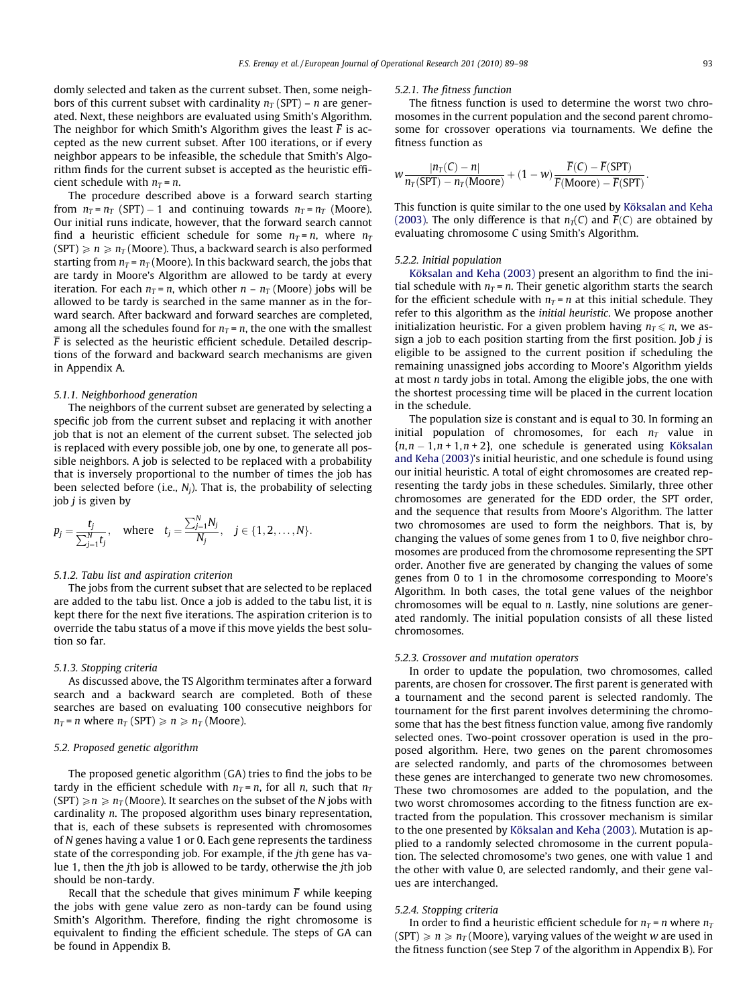domly selected and taken as the current subset. Then, some neighbors of this current subset with cardinality  $n_T(SPT) - n$  are generated. Next, these neighbors are evaluated using Smith's Algorithm. The neighbor for which Smith's Algorithm gives the least  $\overline{F}$  is accepted as the new current subset. After 100 iterations, or if every neighbor appears to be infeasible, the schedule that Smith's Algorithm finds for the current subset is accepted as the heuristic efficient schedule with  $n_T = n$ .

The procedure described above is a forward search starting from  $n_T$ = $n_T$  (SPT) – 1 and continuing towards  $n_T$ = $n_T$  (Moore). Our initial runs indicate, however, that the forward search cannot find a heuristic efficient schedule for some  $n_T = n$ , where  $n_T$  $(SPT) \geq n \geq n_T (Moore)$ . Thus, a backward search is also performed starting from  $n_T = n_T$  (Moore). In this backward search, the jobs that are tardy in Moore's Algorithm are allowed to be tardy at every iteration. For each  $n_T = n$ , which other  $n - n_T$  (Moore) jobs will be allowed to be tardy is searched in the same manner as in the forward search. After backward and forward searches are completed, among all the schedules found for  $n_T = n$ , the one with the smallest  $\overline{F}$  is selected as the heuristic efficient schedule. Detailed descriptions of the forward and backward search mechanisms are given in Appendix A.

#### 5.1.1. Neighborhood generation

The neighbors of the current subset are generated by selecting a specific job from the current subset and replacing it with another job that is not an element of the current subset. The selected job is replaced with every possible job, one by one, to generate all possible neighbors. A job is selected to be replaced with a probability that is inversely proportional to the number of times the job has been selected before (i.e.,  $N_i$ ). That is, the probability of selecting job j is given by

$$
p_j = \frac{t_j}{\sum_{j=1}^{N} t_j}
$$
, where  $t_j = \frac{\sum_{j=1}^{N} N_j}{N_j}$ ,  $j \in \{1, 2, ..., N\}$ .

#### 5.1.2. Tabu list and aspiration criterion

The jobs from the current subset that are selected to be replaced are added to the tabu list. Once a job is added to the tabu list, it is kept there for the next five iterations. The aspiration criterion is to override the tabu status of a move if this move yields the best solution so far.

### 5.1.3. Stopping criteria

As discussed above, the TS Algorithm terminates after a forward search and a backward search are completed. Both of these searches are based on evaluating 100 consecutive neighbors for  $n_T$  = n where  $n_T$  (SPT)  $\ge n \ge n_T$  (Moore).

#### 5.2. Proposed genetic algorithm

The proposed genetic algorithm (GA) tries to find the jobs to be tardy in the efficient schedule with  $n_T = n$ , for all n, such that  $n_T$  $(SPT) \geq n \geq n_T$  (Moore). It searches on the subset of the N jobs with cardinality n. The proposed algorithm uses binary representation, that is, each of these subsets is represented with chromosomes of N genes having a value 1 or 0. Each gene represents the tardiness state of the corresponding job. For example, if the jth gene has value 1, then the jth job is allowed to be tardy, otherwise the jth job should be non-tardy.

Recall that the schedule that gives minimum  $\bar{F}$  while keeping the jobs with gene value zero as non-tardy can be found using Smith's Algorithm. Therefore, finding the right chromosome is equivalent to finding the efficient schedule. The steps of GA can be found in Appendix B.

#### 5.2.1. The fitness function

The fitness function is used to determine the worst two chromosomes in the current population and the second parent chromosome for crossover operations via tournaments. We define the fitness function as

$$
w \frac{|n_T(C) - n|}{n_T(SPT) - n_T(Moore)} + (1 - w) \frac{\overline{F}(C) - \overline{F}(SPT)}{\overline{F}(Moore) - \overline{F}(SPT)}
$$

This function is quite similar to the one used by [Köksalan and Keha](#page-9-0) [\(2003\)](#page-9-0). The only difference is that  $n_T(C)$  and  $\overline{F}(C)$  are obtained by evaluating chromosome C using Smith's Algorithm.

#### 5.2.2. Initial population

[Köksalan and Keha \(2003\)](#page-9-0) present an algorithm to find the initial schedule with  $n_T = n$ . Their genetic algorithm starts the search for the efficient schedule with  $n_T = n$  at this initial schedule. They refer to this algorithm as the initial heuristic. We propose another initialization heuristic. For a given problem having  $n<sub>T</sub> \le n$ , we assign a job to each position starting from the first position. Job  $i$  is eligible to be assigned to the current position if scheduling the remaining unassigned jobs according to Moore's Algorithm yields at most  $n$  tardy jobs in total. Among the eligible jobs, the one with the shortest processing time will be placed in the current location in the schedule.

The population size is constant and is equal to 30. In forming an initial population of chromosomes, for each  $n<sub>T</sub>$  value in  ${n, n-1, n+1, n+2}$ , one schedule is generated using [Köksalan](#page-9-0) [and Keha \(2003\)](#page-9-0)'s initial heuristic, and one schedule is found using our initial heuristic. A total of eight chromosomes are created representing the tardy jobs in these schedules. Similarly, three other chromosomes are generated for the EDD order, the SPT order, and the sequence that results from Moore's Algorithm. The latter two chromosomes are used to form the neighbors. That is, by changing the values of some genes from 1 to 0, five neighbor chromosomes are produced from the chromosome representing the SPT order. Another five are generated by changing the values of some genes from 0 to 1 in the chromosome corresponding to Moore's Algorithm. In both cases, the total gene values of the neighbor chromosomes will be equal to  $n$ . Lastly, nine solutions are generated randomly. The initial population consists of all these listed chromosomes.

## 5.2.3. Crossover and mutation operators

In order to update the population, two chromosomes, called parents, are chosen for crossover. The first parent is generated with a tournament and the second parent is selected randomly. The tournament for the first parent involves determining the chromosome that has the best fitness function value, among five randomly selected ones. Two-point crossover operation is used in the proposed algorithm. Here, two genes on the parent chromosomes are selected randomly, and parts of the chromosomes between these genes are interchanged to generate two new chromosomes. These two chromosomes are added to the population, and the two worst chromosomes according to the fitness function are extracted from the population. This crossover mechanism is similar to the one presented by [Köksalan and Keha \(2003\).](#page-9-0) Mutation is applied to a randomly selected chromosome in the current population. The selected chromosome's two genes, one with value 1 and the other with value 0, are selected randomly, and their gene values are interchanged.

#### 5.2.4. Stopping criteria

In order to find a heuristic efficient schedule for  $n_T = n$  where  $n_T$  $(SPT) \geq n \geq n_T$  (Moore), varying values of the weight w are used in the fitness function (see Step 7 of the algorithm in Appendix B). For

: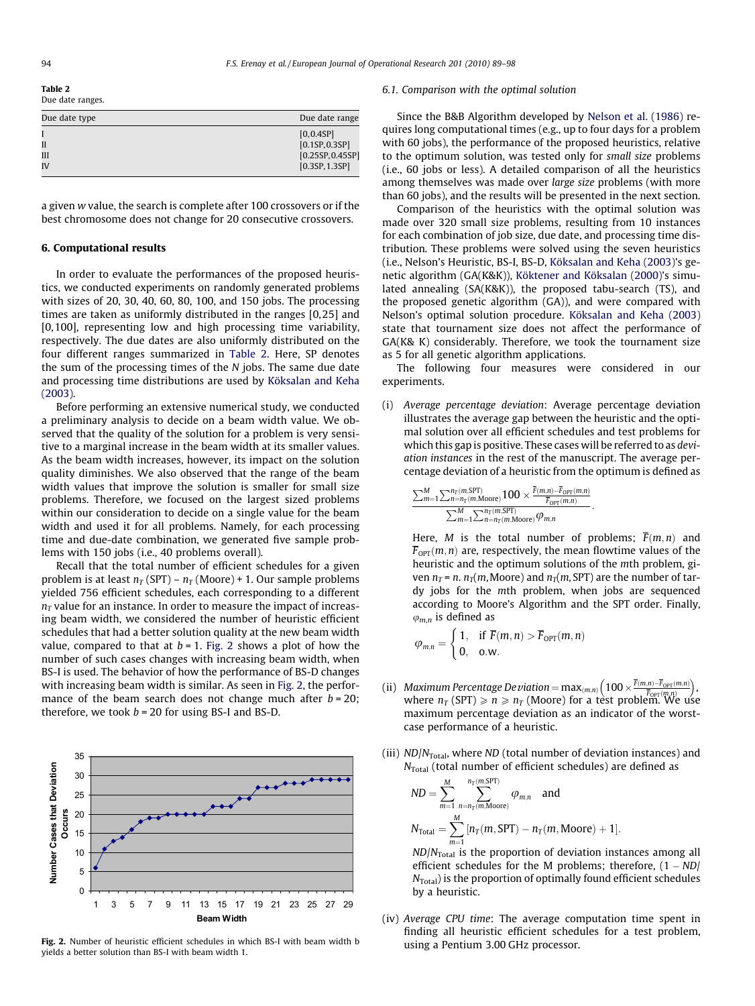<span id="page-5-0"></span>

| an<br>$\sim$ | ı<br>. .<br>$\sim$ |  |
|--------------|--------------------|--|
|              |                    |  |

Due date ranges.

| Due date type | Due date range    |
|---------------|-------------------|
|               | [0, 0.4SP]        |
|               | $[0.1$ SP, 0.3SP] |
| Ш             | [0.25SP, 0.45SP]  |
| IV            | [0.3SP, 1.3SP]    |

a given w value, the search is complete after 100 crossovers or if the best chromosome does not change for 20 consecutive crossovers.

# 6. Computational results

In order to evaluate the performances of the proposed heuristics, we conducted experiments on randomly generated problems with sizes of 20, 30, 40, 60, 80, 100, and 150 jobs. The processing times are taken as uniformly distributed in the ranges [0,25] and [0,100], representing low and high processing time variability, respectively. The due dates are also uniformly distributed on the four different ranges summarized in Table 2. Here, SP denotes the sum of the processing times of the N jobs. The same due date and processing time distributions are used by [Köksalan and Keha](#page-9-0) [\(2003\).](#page-9-0)

Before performing an extensive numerical study, we conducted a preliminary analysis to decide on a beam width value. We observed that the quality of the solution for a problem is very sensitive to a marginal increase in the beam width at its smaller values. As the beam width increases, however, its impact on the solution quality diminishes. We also observed that the range of the beam width values that improve the solution is smaller for small size problems. Therefore, we focused on the largest sized problems within our consideration to decide on a single value for the beam width and used it for all problems. Namely, for each processing time and due-date combination, we generated five sample problems with 150 jobs (i.e., 40 problems overall).

Recall that the total number of efficient schedules for a given problem is at least  $n_T (SPT) - n_T (Moore) + 1$ . Our sample problems yielded 756 efficient schedules, each corresponding to a different  $n<sub>T</sub>$  value for an instance. In order to measure the impact of increasing beam width, we considered the number of heuristic efficient schedules that had a better solution quality at the new beam width value, compared to that at  $b = 1$ . Fig. 2 shows a plot of how the number of such cases changes with increasing beam width, when BS-I is used. The behavior of how the performance of BS-D changes with increasing beam width is similar. As seen in Fig. 2, the performance of the beam search does not change much after  $b = 20$ ; therefore, we took  $b = 20$  for using BS-I and BS-D.



Fig. 2. Number of heuristic efficient schedules in which BS-I with beam width b yields a better solution than BS-I with beam width 1.

#### 6.1. Comparison with the optimal solution

Since the B&B Algorithm developed by [Nelson et al. \(1986\)](#page-9-0) requires long computational times (e.g., up to four days for a problem with 60 jobs), the performance of the proposed heuristics, relative to the optimum solution, was tested only for small size problems (i.e., 60 jobs or less). A detailed comparison of all the heuristics among themselves was made over large size problems (with more than 60 jobs), and the results will be presented in the next section.

Comparison of the heuristics with the optimal solution was made over 320 small size problems, resulting from 10 instances for each combination of job size, due date, and processing time distribution. These problems were solved using the seven heuristics (i.e., Nelson's Heuristic, BS-I, BS-D, [Köksalan and Keha \(2003\)'](#page-9-0)s genetic algorithm (GA(K&K)), [Köktener and Köksalan \(2000\)](#page-9-0)'s simulated annealing (SA(K&K)), the proposed tabu-search (TS), and the proposed genetic algorithm (GA)), and were compared with Nelson's optimal solution procedure. [Köksalan and Keha \(2003\)](#page-9-0) state that tournament size does not affect the performance of GA(K& K) considerably. Therefore, we took the tournament size as 5 for all genetic algorithm applications.

The following four measures were considered in our experiments.

(i) Average percentage deviation: Average percentage deviation illustrates the average gap between the heuristic and the optimal solution over all efficient schedules and test problems for which this gap is positive. These cases will be referred to as deviation instances in the rest of the manuscript. The average percentage deviation of a heuristic from the optimum is defined as

$$
\frac{\sum_{m=1}^{M}\sum_{n=n_{T}(m,\text{SPT})}^{n_{T}(m,\text{SPT})}100\times\frac{\overline{F}(m,n)-\overline{F}_{\text{OPT}(m,n)}}{\overline{F}_{\text{OPT}(m,n)}}}{\sum_{m=1}^{M}\sum_{n=n_{T}(m,\text{Moore})}^{n_{T}(m,\text{SPT})}\varrho_{m,n}}.
$$

Here, M is the total number of problems;  $\overline{F}(m,n)$  and  $\overline{F}_{OPT}(m, n)$  are, respectively, the mean flowtime values of the heuristic and the optimum solutions of the mth problem, given  $n_T$  = n.  $n_T(m, Moore)$  and  $n_T(m,SPT)$  are the number of tardy jobs for the mth problem, when jobs are sequenced according to Moore's Algorithm and the SPT order. Finally,  $\varphi_{m,n}$  is defined as

$$
\varphi_{m,n} = \begin{cases} 1, & \text{if } \overline{F}(m,n) > \overline{F}_{\text{OPT}}(m,n) \\ 0, & \text{o.w.} \end{cases}
$$

- (ii) Maximum Percentage Deviation =  $\max_{(m,n)} \Big(100 \times \frac{\overline{F}(m,n)-\overline{F}_{OPT}(m,n)}{\overline{F}_{corr}(m,n)}\Big),$ where  $n_T$  (SPT)  $\ge n \ge n_T$  (Moore) for a test problem. We use maximum percentage deviation as an indicator of the worstcase performance of a heuristic.
- (iii)  $ND/N_{\text{Total}}$ , where ND (total number of deviation instances) and  $N_{\text{Total}}$  (total number of efficient schedules) are defined as

$$
ND = \sum_{m=1}^{M} \sum_{n=n_T(m,\text{Moore})}^{n_T(m,\text{SPT})} \varphi_{m,n} \text{ and}
$$
  

$$
N_{\text{Total}} = \sum_{m=1}^{M} [n_T(m,\text{SPT}) - n_T(m,\text{Moore}) + 1].
$$

 $\frac{m=1}{ND/N_{\rm Total}}$  is the proportion of deviation instances among all efficient schedules for the M problems; therefore,  $(1 - ND/$  $N_{\text{Total}}$ ) is the proportion of optimally found efficient schedules by a heuristic.

(iv) Average CPU time: The average computation time spent in finding all heuristic efficient schedules for a test problem, using a Pentium 3.00 GHz processor.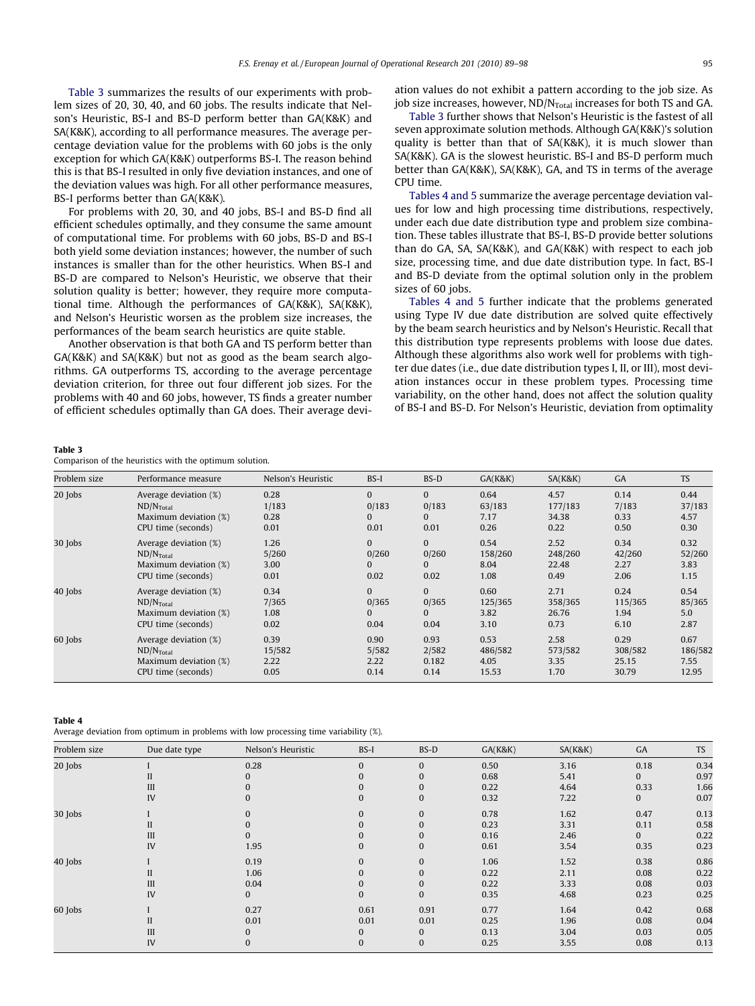Table 3 summarizes the results of our experiments with problem sizes of 20, 30, 40, and 60 jobs. The results indicate that Nelson's Heuristic, BS-I and BS-D perform better than GA(K&K) and SA(K&K), according to all performance measures. The average percentage deviation value for the problems with 60 jobs is the only exception for which GA(K&K) outperforms BS-I. The reason behind this is that BS-I resulted in only five deviation instances, and one of the deviation values was high. For all other performance measures, BS-I performs better than GA(K&K).

For problems with 20, 30, and 40 jobs, BS-I and BS-D find all efficient schedules optimally, and they consume the same amount of computational time. For problems with 60 jobs, BS-D and BS-I both yield some deviation instances; however, the number of such instances is smaller than for the other heuristics. When BS-I and BS-D are compared to Nelson's Heuristic, we observe that their solution quality is better; however, they require more computational time. Although the performances of GA(K&K), SA(K&K), and Nelson's Heuristic worsen as the problem size increases, the performances of the beam search heuristics are quite stable.

Another observation is that both GA and TS perform better than GA(K&K) and SA(K&K) but not as good as the beam search algorithms. GA outperforms TS, according to the average percentage deviation criterion, for three out four different job sizes. For the problems with 40 and 60 jobs, however, TS finds a greater number of efficient schedules optimally than GA does. Their average devi-

ation values do not exhibit a pattern according to the job size. As job size increases, however,  $ND/N_{Total}$  increases for both TS and GA.

Table 3 further shows that Nelson's Heuristic is the fastest of all seven approximate solution methods. Although GA(K&K)'s solution quality is better than that of SA(K&K), it is much slower than SA(K&K). GA is the slowest heuristic. BS-I and BS-D perform much better than GA(K&K), SA(K&K), GA, and TS in terms of the average CPU time.

Tables 4 and 5 summarize the average percentage deviation values for low and high processing time distributions, respectively, under each due date distribution type and problem size combination. These tables illustrate that BS-I, BS-D provide better solutions than do GA, SA, SA(K&K), and GA(K&K) with respect to each job size, processing time, and due date distribution type. In fact, BS-I and BS-D deviate from the optimal solution only in the problem sizes of 60 jobs.

Tables 4 and 5 further indicate that the problems generated using Type IV due date distribution are solved quite effectively by the beam search heuristics and by Nelson's Heuristic. Recall that this distribution type represents problems with loose due dates. Although these algorithms also work well for problems with tighter due dates (i.e., due date distribution types I, II, or III), most deviation instances occur in these problem types. Processing time variability, on the other hand, does not affect the solution quality of BS-I and BS-D. For Nelson's Heuristic, deviation from optimality

## Table 3

| Comparison of the heuristics with the optimum solution. |  |  |  |  |  |  |
|---------------------------------------------------------|--|--|--|--|--|--|
|---------------------------------------------------------|--|--|--|--|--|--|

| comparison of the neuristics with the optimum solution. |                       |                    |              |              |         |         |           |           |
|---------------------------------------------------------|-----------------------|--------------------|--------------|--------------|---------|---------|-----------|-----------|
| Problem size                                            | Performance measure   | Nelson's Heuristic | BS-I         | BS-D         | GA(K&K) | SA(K&K) | <b>GA</b> | <b>TS</b> |
| $20$ Jobs                                               | Average deviation (%) | 0.28               | $\Omega$     | $\mathbf{0}$ | 0.64    | 4.57    | 0.14      | 0.44      |
|                                                         | $ND/N_{Total}$        | 1/183              | 0/183        | 0/183        | 63/183  | 177/183 | 7/183     | 37/183    |
|                                                         | Maximum deviation (%) | 0.28               | 0            | $\mathbf{0}$ | 7.17    | 34.38   | 0.33      | 4.57      |
|                                                         | CPU time (seconds)    | 0.01               | 0.01         | 0.01         | 0.26    | 0.22    | 0.50      | 0.30      |
| 30 Jobs                                                 | Average deviation (%) | 1.26               | $\mathbf{0}$ | $\mathbf{0}$ | 0.54    | 2.52    | 0.34      | 0.32      |
|                                                         | $ND/N_{Total}$        | 5/260              | 0/260        | 0/260        | 158/260 | 248/260 | 42/260    | 52/260    |
|                                                         | Maximum deviation (%) | 3.00               | 0            | $\mathbf{0}$ | 8.04    | 22.48   | 2.27      | 3.83      |
|                                                         | CPU time (seconds)    | 0.01               | 0.02         | 0.02         | 1.08    | 0.49    | 2.06      | 1.15      |
| 40 Jobs                                                 | Average deviation (%) | 0.34               | $\Omega$     | $\mathbf{0}$ | 0.60    | 2.71    | 0.24      | 0.54      |
|                                                         | $ND/N_{Total}$        | 7/365              | 0/365        | 0/365        | 125/365 | 358/365 | 115/365   | 85/365    |
|                                                         | Maximum deviation (%) | 1.08               | 0            | $\mathbf{0}$ | 3.82    | 26.76   | 1.94      | 5.0       |
|                                                         | CPU time (seconds)    | 0.02               | 0.04         | 0.04         | 3.10    | 0.73    | 6.10      | 2.87      |
| 60 Jobs                                                 | Average deviation (%) | 0.39               | 0.90         | 0.93         | 0.53    | 2.58    | 0.29      | 0.67      |
|                                                         | $ND/N_{Total}$        | 15/582             | 5/582        | 2/582        | 486/582 | 573/582 | 308/582   | 186/582   |
|                                                         | Maximum deviation (%) | 2.22               | 2.22         | 0.182        | 4.05    | 3.35    | 25.15     | 7.55      |
|                                                         | CPU time (seconds)    | 0.05               | 0.14         | 0.14         | 15.53   | 1.70    | 30.79     | 12.95     |

#### Table 4

Average deviation from optimum in problems with low processing time variability (%).

| Problem size | Due date type | Nelson's Heuristic | $BS-I$         | BS-D         | GA(K&K) | SA(K&K) | GA           | <b>TS</b> |
|--------------|---------------|--------------------|----------------|--------------|---------|---------|--------------|-----------|
| 20 Jobs      |               | 0.28               | $\overline{0}$ | $\mathbf{0}$ | 0.50    | 3.16    | 0.18         | 0.34      |
|              | П             | $\mathbf{0}$       | 0              |              | 0.68    | 5.41    | 0            | 0.97      |
|              | III           | $\Omega$           | 0              | 0            | 0.22    | 4.64    | 0.33         | 1.66      |
|              | IV            | 0                  | 0              | $\mathbf{0}$ | 0.32    | 7.22    | $\mathbf{0}$ | 0.07      |
| 30 Jobs      |               | $\Omega$           | 0              | $\mathbf{0}$ | 0.78    | 1.62    | 0.47         | 0.13      |
|              | $_{II}$       | $\Omega$           | $\Omega$       | $\mathbf{0}$ | 0.23    | 3.31    | 0.11         | 0.58      |
|              | III           | $\Omega$           | 0              | 0            | 0.16    | 2.46    | $\mathbf{0}$ | 0.22      |
|              | IV            | 1.95               | 0              | $\mathbf{0}$ | 0.61    | 3.54    | 0.35         | 0.23      |
| 40 Jobs      |               | 0.19               | $\Omega$       | $\mathbf{0}$ | 1.06    | 1.52    | 0.38         | 0.86      |
|              | $_{II}$       | 1.06               | $\Omega$       | $\mathbf{0}$ | 0.22    | 2.11    | 0.08         | 0.22      |
|              | III           | 0.04               | 0              | 0            | 0.22    | 3.33    | 0.08         | 0.03      |
|              | IV            | $\mathbf{0}$       | $\Omega$       | $\mathbf{0}$ | 0.35    | 4.68    | 0.23         | 0.25      |
| 60 Jobs      |               | 0.27               | 0.61           | 0.91         | 0.77    | 1.64    | 0.42         | 0.68      |
|              | $_{II}$       | 0.01               | 0.01           | 0.01         | 0.25    | 1.96    | 0.08         | 0.04      |
|              | III           | $\mathbf{0}$       | 0              | 0            | 0.13    | 3.04    | 0.03         | 0.05      |
|              | IV            | $\mathbf{0}$       | 0              | $\mathbf{0}$ | 0.25    | 3.55    | 0.08         | 0.13      |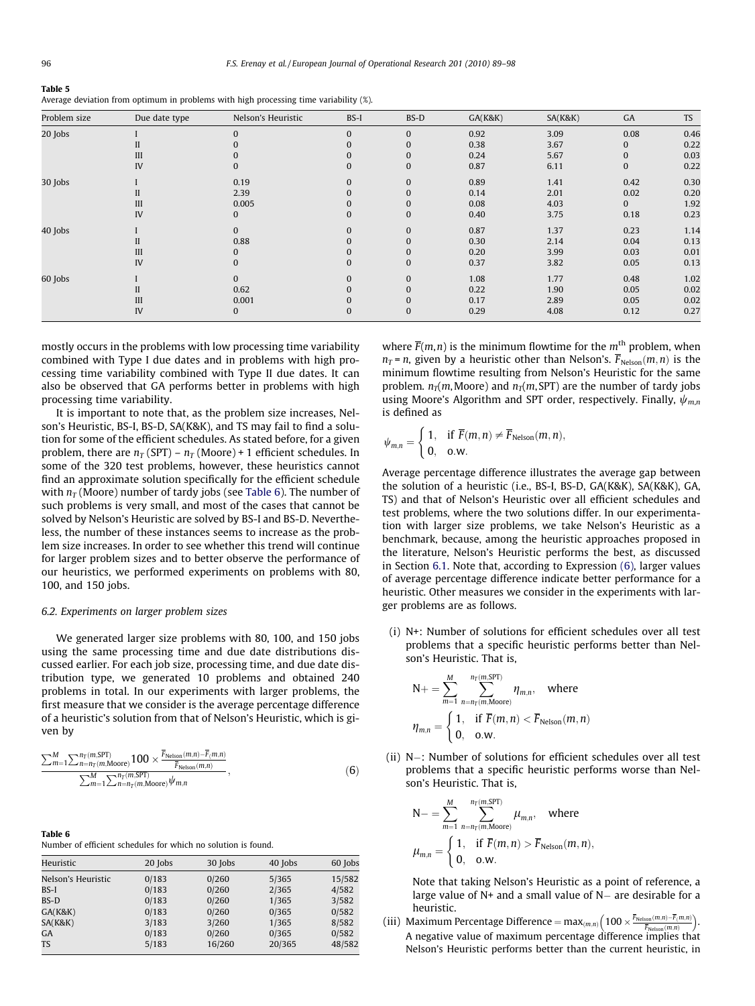| Table 5 |                                                                                           |
|---------|-------------------------------------------------------------------------------------------|
|         | Average deviation from optimum in problems with high processing time variability $(\%)$ . |

| Problem size | Due date type | Nelson's Heuristic | BS-I     | BS-D         | <b>GA(K&amp;K)</b> | SA(K&K) | GA           | <b>TS</b> |
|--------------|---------------|--------------------|----------|--------------|--------------------|---------|--------------|-----------|
| 20 Jobs      |               | $\mathbf{0}$       | $\Omega$ | $\mathbf{0}$ | 0.92               | 3.09    | 0.08         | 0.46      |
|              | H             | 0                  |          | $\mathbf{0}$ | 0.38               | 3.67    | $\mathbf{0}$ | 0.22      |
|              | III           | 0                  |          | $\mathbf{0}$ | 0.24               | 5.67    | $\bf{0}$     | 0.03      |
|              | IV            | $\bf{0}$           | 0        | $\mathbf{0}$ | 0.87               | 6.11    | $\bf{0}$     | 0.22      |
| 30 Jobs      |               | 0.19               | $\Omega$ | $\mathbf{0}$ | 0.89               | 1.41    | 0.42         | 0.30      |
|              | $_{II}$       | 2.39               |          | $\mathbf{0}$ | 0.14               | 2.01    | 0.02         | 0.20      |
|              | III           | 0.005              |          | 0            | 0.08               | 4.03    | $\mathbf{0}$ | 1.92      |
|              | IV            | $\bf{0}$           | $\Omega$ | $\mathbf{0}$ | 0.40               | 3.75    | 0.18         | 0.23      |
| 40 Jobs      |               | $\mathbf{0}$       | 0        | $\mathbf{0}$ | 0.87               | 1.37    | 0.23         | 1.14      |
|              | $\mathbf{I}$  | 0.88               |          | $\mathbf{0}$ | 0.30               | 2.14    | 0.04         | 0.13      |
|              | III           | $\bf{0}$           |          | $\mathbf{0}$ | 0.20               | 3.99    | 0.03         | 0.01      |
|              | IV            | $\mathbf{0}$       | $\Omega$ | $\mathbf{0}$ | 0.37               | 3.82    | 0.05         | 0.13      |
| 60 Jobs      |               | $\overline{0}$     |          | $\mathbf{0}$ | 1.08               | 1.77    | 0.48         | 1.02      |
|              | $\mathbf{I}$  | 0.62               |          | 0            | 0.22               | 1.90    | 0.05         | 0.02      |
|              | III           | 0.001              |          | $\Omega$     | 0.17               | 2.89    | 0.05         | 0.02      |
|              | IV            | $\bf{0}$           | 0        | $\bf{0}$     | 0.29               | 4.08    | 0.12         | 0.27      |

mostly occurs in the problems with low processing time variability combined with Type I due dates and in problems with high processing time variability combined with Type II due dates. It can also be observed that GA performs better in problems with high processing time variability.

It is important to note that, as the problem size increases, Nelson's Heuristic, BS-I, BS-D, SA(K&K), and TS may fail to find a solution for some of the efficient schedules. As stated before, for a given problem, there are  $n_T$  (SPT) –  $n_T$  (Moore) + 1 efficient schedules. In some of the 320 test problems, however, these heuristics cannot find an approximate solution specifically for the efficient schedule with  $n<sub>T</sub>$  (Moore) number of tardy jobs (see Table 6). The number of such problems is very small, and most of the cases that cannot be solved by Nelson's Heuristic are solved by BS-I and BS-D. Nevertheless, the number of these instances seems to increase as the problem size increases. In order to see whether this trend will continue for larger problem sizes and to better observe the performance of our heuristics, we performed experiments on problems with 80, 100, and 150 jobs.

# 6.2. Experiments on larger problem sizes

We generated larger size problems with 80, 100, and 150 jobs using the same processing time and due date distributions discussed earlier. For each job size, processing time, and due date distribution type, we generated 10 problems and obtained 240 problems in total. In our experiments with larger problems, the first measure that we consider is the average percentage difference of a heuristic's solution from that of Nelson's Heuristic, which is given by

$$
\frac{\sum_{m=1}^{M} \sum_{n=n_{T}(m,\text{More})}^{n_{T}(m,\text{SPT})} 100 \times \frac{\overline{F}_{\text{Nelson}(m,n)-\overline{F}(m,n)}}{\overline{F}_{\text{Nelson}(m,n)}},\newline \frac{\sum_{m=1}^{M} \sum_{n=n_{T}(m,\text{More})}^{n_{T}(m,\text{SPT})} \psi_{m,n}}{\sum_{m=1}^{M} \sum_{n=n_{T}(m,\text{Moore})}^{n_{T}(m,\text{More})} \psi_{m,n}},
$$
(6)

| Table |  |
|-------|--|
|       |  |

Number of efficient schedules for which no solution is found.

| Heuristic          | 20 Jobs | 30 Jobs | 40 Jobs | 60 Jobs |
|--------------------|---------|---------|---------|---------|
| Nelson's Heuristic | 0/183   | 0/260   | 5/365   | 15/582  |
| BS-I               | 0/183   | 0/260   | 2/365   | 4/582   |
| BS-D               | 0/183   | 0/260   | 1/365   | 3/582   |
| GA(K&K)            | 0/183   | 0/260   | 0/365   | 0/582   |
| SA(K&K)            | 3/183   | 3/260   | 1/365   | 8/582   |
| GA                 | 0/183   | 0/260   | 0/365   | 0/582   |
| TS                 | 5/183   | 16/260  | 20/365  | 48/582  |

where  $\bar{F}(m,n)$  is the minimum flowtime for the  $m<sup>th</sup>$  problem, when  $n_T$  = n, given by a heuristic other than Nelson's.  $\overline{F}_{\text{Nelson}}(m, n)$  is the minimum flowtime resulting from Nelson's Heuristic for the same problem.  $n_T(m, Moore)$  and  $n_T(m, SPT)$  are the number of tardy jobs using Moore's Algorithm and SPT order, respectively. Finally,  $\psi_{m,n}$ is defined as

$$
\psi_{m,n} = \begin{cases} 1, & \text{if } \overline{F}(m,n) \neq \overline{F}_{\text{Nelson}}(m,n), \\ 0, & \text{o.w.} \end{cases}
$$

Average percentage difference illustrates the average gap between the solution of a heuristic (i.e., BS-I, BS-D, GA(K&K), SA(K&K), GA, TS) and that of Nelson's Heuristic over all efficient schedules and test problems, where the two solutions differ. In our experimentation with larger size problems, we take Nelson's Heuristic as a benchmark, because, among the heuristic approaches proposed in the literature, Nelson's Heuristic performs the best, as discussed in Section [6.1.](#page-5-0) Note that, according to Expression (6), larger values of average percentage difference indicate better performance for a heuristic. Other measures we consider in the experiments with larger problems are as follows.

(i) N+: Number of solutions for efficient schedules over all test problems that a specific heuristic performs better than Nelson's Heuristic. That is,

$$
N+ = \sum_{m=1}^{M} \sum_{n=n_T(m,\text{Moore})}^{n_T(m,\text{SPT})} \eta_{m,n}, \quad \text{where}
$$

$$
\eta_{m,n} = \begin{cases} 1, & \text{if } \overline{F}(m,n) < \overline{F}_{\text{Nelson}}(m,n) \\ 0, & \text{o.w.} \end{cases}
$$

(ii) N-: Number of solutions for efficient schedules over all test problems that a specific heuristic performs worse than Nelson's Heuristic. That is,

$$
N- = \sum_{m=1}^{M} \sum_{n=n_T(m,\text{Moore})}^{n_T(m,\text{SPT})} \mu_{m,n}, \text{ where}
$$

$$
\mu_{m,n} = \begin{cases} 1, & \text{if } \overline{F}(m,n) > \overline{F}_{\text{Nelson}}(m,n), \\ 0, & \text{o.w.} \end{cases}
$$

Note that taking Nelson's Heuristic as a point of reference, a large value of  $N^+$  and a small value of  $N-$  are desirable for a heuristic.

(iii) Maximum Percentage Difference =  $\max_{(m,n)} \left( 100 \times \frac{\overline{F}_{\text{Nelson}(m,n)-\overline{F}(m,n)}}{\overline{F}_{\text{Nelson}(m,n)}} \right)$ . A negative value of maximum percentage difference implies that Nelson's Heuristic performs better than the current heuristic, in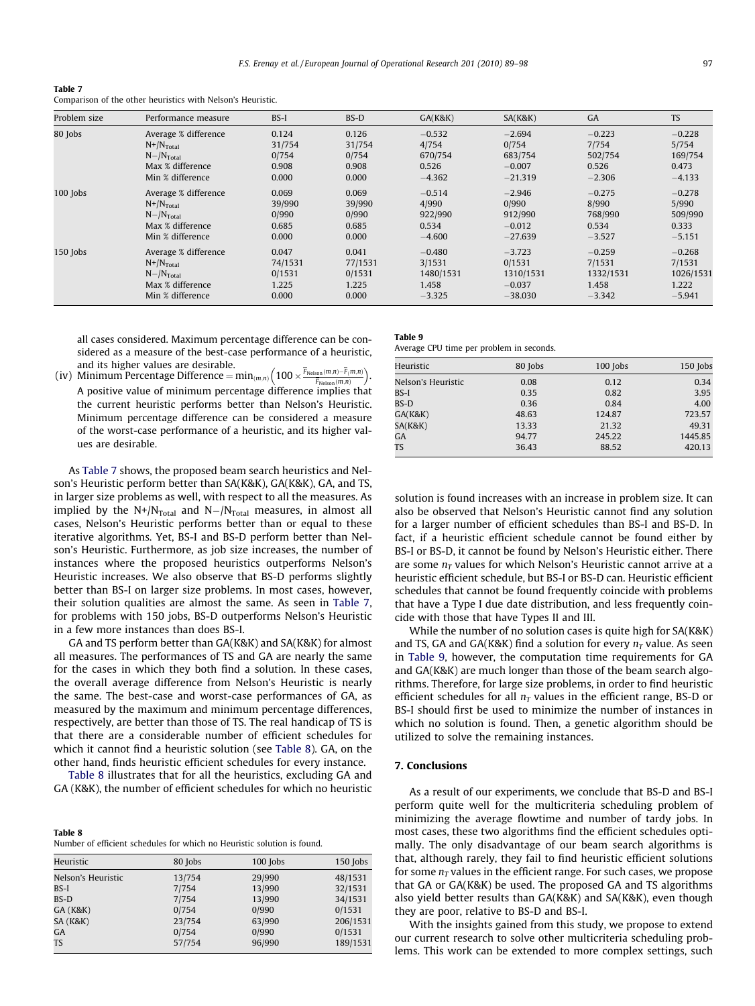<span id="page-8-0"></span>

| Table |
|-------|
|-------|

| Comparison of the other heuristics with Nelson's Heuristic. |  |  |  |  |  |  |
|-------------------------------------------------------------|--|--|--|--|--|--|
|-------------------------------------------------------------|--|--|--|--|--|--|

| Problem size      | Performance measure      | $BS-I$  | BS-D    | <b>GA(K&amp;K)</b> | SA(K&K)   | GA        | <b>TS</b> |
|-------------------|--------------------------|---------|---------|--------------------|-----------|-----------|-----------|
| 80 Jobs           | Average % difference     | 0.124   | 0.126   | $-0.532$           | $-2.694$  | $-0.223$  | $-0.228$  |
|                   | $N+/N_{\text{Total}}$    | 31/754  | 31/754  | 4/754              | 0/754     | 7/754     | 5/754     |
|                   | $N - / N_{\text{Total}}$ | 0/754   | 0/754   | 670/754            | 683/754   | 502/754   | 169/754   |
|                   | Max % difference         | 0.908   | 0.908   | 0.526              | $-0.007$  | 0.526     | 0.473     |
|                   | Min % difference         | 0.000   | 0.000   | $-4.362$           | $-21.319$ | $-2.306$  | $-4.133$  |
| $100$ $\vert$ obs | Average % difference     | 0.069   | 0.069   | $-0.514$           | $-2.946$  | $-0.275$  | $-0.278$  |
|                   | $N+/N_{\text{Total}}$    | 39/990  | 39/990  | 4/990              | 0/990     | 8/990     | 5/990     |
|                   | $N - / N_{\text{Total}}$ | 0/990   | 0/990   | 922/990            | 912/990   | 768/990   | 509/990   |
|                   | Max % difference         | 0.685   | 0.685   | 0.534              | $-0.012$  | 0.534     | 0.333     |
|                   | Min % difference         | 0.000   | 0.000   | $-4.600$           | $-27.639$ | $-3.527$  | $-5.151$  |
| 150 Jobs          | Average % difference     | 0.047   | 0.041   | $-0.480$           | $-3.723$  | $-0.259$  | $-0.268$  |
|                   | $N+ / N_{\text{Total}}$  | 74/1531 | 77/1531 | 3/1531             | 0/1531    | 7/1531    | 7/1531    |
|                   | $N - / N_{\text{Total}}$ | 0/1531  | 0/1531  | 1480/1531          | 1310/1531 | 1332/1531 | 1026/1531 |
|                   | Max % difference         | 1.225   | 1.225   | 1.458              | $-0.037$  | 1.458     | 1.222     |
|                   | Min % difference         | 0.000   | 0.000   | $-3.325$           | $-38.030$ | $-3.342$  | $-5.941$  |

all cases considered. Maximum percentage difference can be considered as a measure of the best-case performance of a heuristic, and its higher values are desirable.

(iv) Minimum Percentage Difference  $=\min_{(m,n)}\left(100\times\frac{F_{\text{Nelson}}(m,n)-F_(m,n)}{\overline{F}_{\text{Nish}}(m,n)}\right)$  $\left(100 \times \frac{\overline{F}_{\text{Nelson}}(m,n) - \overline{F}_{(m,n)}}{\overline{F}_{\text{Nelson}}(m,n)}\right).$ A positive value of minimum percentage difference implies that the current heuristic performs better than Nelson's Heuristic. Minimum percentage difference can be considered a measure of the worst-case performance of a heuristic, and its higher values are desirable.

As Table 7 shows, the proposed beam search heuristics and Nelson's Heuristic perform better than SA(K&K), GA(K&K), GA, and TS, in larger size problems as well, with respect to all the measures. As implied by the N+/N $_{\rm Total}$  and N $-$ /N $_{\rm Total}$  measures, in almost all cases, Nelson's Heuristic performs better than or equal to these iterative algorithms. Yet, BS-I and BS-D perform better than Nelson's Heuristic. Furthermore, as job size increases, the number of instances where the proposed heuristics outperforms Nelson's Heuristic increases. We also observe that BS-D performs slightly better than BS-I on larger size problems. In most cases, however, their solution qualities are almost the same. As seen in Table 7, for problems with 150 jobs, BS-D outperforms Nelson's Heuristic in a few more instances than does BS-I.

GA and TS perform better than GA(K&K) and SA(K&K) for almost all measures. The performances of TS and GA are nearly the same for the cases in which they both find a solution. In these cases, the overall average difference from Nelson's Heuristic is nearly the same. The best-case and worst-case performances of GA, as measured by the maximum and minimum percentage differences, respectively, are better than those of TS. The real handicap of TS is that there are a considerable number of efficient schedules for which it cannot find a heuristic solution (see Table 8). GA, on the other hand, finds heuristic efficient schedules for every instance.

Table 8 illustrates that for all the heuristics, excluding GA and GA (K&K), the number of efficient schedules for which no heuristic

| IMMIL V                                                                 |  |  |  |
|-------------------------------------------------------------------------|--|--|--|
| Number of efficient schedules for which no Heuristic solution is found. |  |  |  |

Table 8

| Heuristic          | 80 Jobs | $100$ Jobs | $150$ Jobs |
|--------------------|---------|------------|------------|
| Nelson's Heuristic | 13/754  | 29/990     | 48/1531    |
| $BS-I$             | 7/754   | 13/990     | 32/1531    |
| BS-D               | 7/754   | 13/990     | 34/1531    |
| GA (K&K)           | 0/754   | 0/990      | 0/1531     |
| SA (K&K)           | 23/754  | 63/990     | 206/1531   |
| GA                 | 0/754   | 0/990      | 0/1531     |
| <b>TS</b>          | 57/754  | 96/990     | 189/1531   |

| Table 9                                                 |  |  |  |  |  |
|---------------------------------------------------------|--|--|--|--|--|
| $\sim$ $\sim$ $\sim$ $\sim$ $\sim$ $\sim$ $\sim$ $\sim$ |  |  |  |  |  |

Average CPU time per problem in seconds.

| Heuristic          | 80 Jobs | $100$ Jobs | 150 Jobs |  |  |
|--------------------|---------|------------|----------|--|--|
| Nelson's Heuristic | 0.08    | 0.12       | 0.34     |  |  |
| BS-I               | 0.35    | 0.82       | 3.95     |  |  |
| $BS-D$             | 0.36    | 0.84       | 4.00     |  |  |
| GA(K&K)            | 48.63   | 124.87     | 723.57   |  |  |
| SA(K&K)            | 13.33   | 21.32      | 49.31    |  |  |
| GA                 | 94.77   | 245.22     | 1445.85  |  |  |
| <b>TS</b>          | 36.43   | 88.52      | 420.13   |  |  |
|                    |         |            |          |  |  |

solution is found increases with an increase in problem size. It can also be observed that Nelson's Heuristic cannot find any solution for a larger number of efficient schedules than BS-I and BS-D. In fact, if a heuristic efficient schedule cannot be found either by BS-I or BS-D, it cannot be found by Nelson's Heuristic either. There are some  $n<sub>T</sub>$  values for which Nelson's Heuristic cannot arrive at a heuristic efficient schedule, but BS-I or BS-D can. Heuristic efficient schedules that cannot be found frequently coincide with problems that have a Type I due date distribution, and less frequently coincide with those that have Types II and III.

While the number of no solution cases is quite high for SA(K&K) and TS, GA and GA(K&K) find a solution for every  $n<sub>T</sub>$  value. As seen in Table 9, however, the computation time requirements for GA and GA(K&K) are much longer than those of the beam search algorithms. Therefore, for large size problems, in order to find heuristic efficient schedules for all  $n<sub>T</sub>$  values in the efficient range, BS-D or BS-I should first be used to minimize the number of instances in which no solution is found. Then, a genetic algorithm should be utilized to solve the remaining instances.

# 7. Conclusions

As a result of our experiments, we conclude that BS-D and BS-I perform quite well for the multicriteria scheduling problem of minimizing the average flowtime and number of tardy jobs. In most cases, these two algorithms find the efficient schedules optimally. The only disadvantage of our beam search algorithms is that, although rarely, they fail to find heuristic efficient solutions for some  $n<sub>T</sub>$  values in the efficient range. For such cases, we propose that GA or GA(K&K) be used. The proposed GA and TS algorithms also yield better results than GA(K&K) and SA(K&K), even though they are poor, relative to BS-D and BS-I.

With the insights gained from this study, we propose to extend our current research to solve other multicriteria scheduling problems. This work can be extended to more complex settings, such